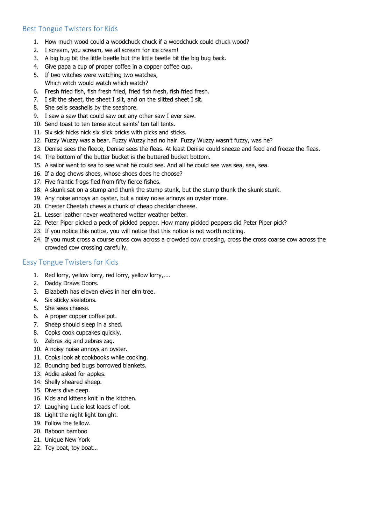# Best Tongue Twisters for Kids

- 1. How much wood could a woodchuck chuck if a woodchuck could chuck wood?
- 2. I scream, you scream, we all scream for ice cream!
- 3. A big bug bit the little beetle but the little beetle bit the big bug back.
- 4. Give papa a cup of proper coffee in a copper coffee cup.
- 5. If two witches were watching two watches, Which witch would watch which watch?
- 6. Fresh fried fish, fish fresh fried, fried fish fresh, fish fried fresh.
- 7. I slit the sheet, the sheet I slit, and on the slitted sheet I sit.
- 8. She sells seashells by the seashore.
- 9. I saw a saw that could saw out any other saw I ever saw.
- 10. Send toast to ten tense stout saints' ten tall tents.
- 11. Six sick hicks nick six slick bricks with picks and sticks.
- 12. Fuzzy Wuzzy was a bear. Fuzzy Wuzzy had no hair. Fuzzy Wuzzy wasn't fuzzy, was he?
- 13. Denise sees the fleece, Denise sees the fleas. At least Denise could sneeze and feed and freeze the fleas.
- 14. The bottom of the butter bucket is the buttered bucket bottom.
- 15. A sailor went to sea to see what he could see. And all he could see was sea, sea, sea.
- 16. If a dog chews shoes, whose shoes does he choose?
- 17. Five frantic frogs fled from fifty fierce fishes.
- 18. A skunk sat on a stump and thunk the stump stunk, but the stump thunk the skunk stunk.
- 19. Any noise annoys an oyster, but a noisy noise annoys an oyster more.
- 20. Chester Cheetah chews a chunk of cheap cheddar cheese.
- 21. Lesser leather never weathered wetter weather better.
- 22. Peter Piper picked a peck of pickled pepper. How many pickled peppers did Peter Piper pick?
- 23. If you notice this notice, you will notice that this notice is not worth noticing.
- 24. If you must cross a course cross cow across a crowded cow crossing, cross the cross coarse cow across the crowded cow crossing carefully.

## Easy Tongue Twisters for Kids

- 1. Red lorry, yellow lorry, red lorry, yellow lorry,....
- 2. Daddy Draws Doors.
- 3. Elizabeth has eleven elves in her elm tree.
- 4. Six sticky skeletons.
- 5. She sees cheese.
- 6. A proper copper coffee pot.
- 7. Sheep should sleep in a shed.
- 8. Cooks cook cupcakes quickly.
- 9. Zebras zig and zebras zag.
- 10. A noisy noise annoys an oyster.
- 11. Cooks look at cookbooks while cooking.
- 12. Bouncing bed bugs borrowed blankets.
- 13. Addie asked for apples.
- 14. Shelly sheared sheep.
- 15. Divers dive deep.
- 16. Kids and kittens knit in the kitchen.
- 17. Laughing Lucie lost loads of loot.
- 18. Light the night light tonight.
- 19. Follow the fellow.
- 20. Baboon bamboo
- 21. Unique New York
- 22. Toy boat, toy boat…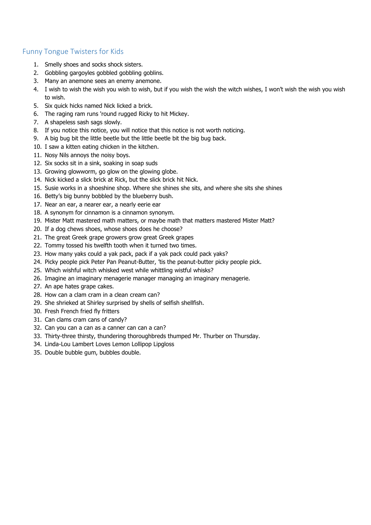#### Funny Tongue Twisters for Kids

- 1. Smelly shoes and socks shock sisters.
- 2. Gobbling gargoyles gobbled gobbling goblins.
- 3. Many an anemone sees an enemy anemone.
- 4. I wish to wish the wish you wish to wish, but if you wish the wish the witch wishes, I won't wish the wish you wish to wish.
- 5. Six quick hicks named Nick licked a brick.
- 6. The raging ram runs 'round rugged Ricky to hit Mickey.
- 7. A shapeless sash sags slowly.
- 8. If you notice this notice, you will notice that this notice is not worth noticing.
- 9. A big bug bit the little beetle but the little beetle bit the big bug back.
- 10. I saw a kitten eating chicken in the kitchen.
- 11. Nosy Nils annoys the noisy boys.
- 12. Six socks sit in a sink, soaking in soap suds
- 13. Growing glowworm, go glow on the glowing globe.
- 14. Nick kicked a slick brick at Rick, but the slick brick hit Nick.
- 15. Susie works in a shoeshine shop. Where she shines she sits, and where she sits she shines
- 16. Betty's big bunny bobbled by the blueberry bush.
- 17. Near an ear, a nearer ear, a nearly eerie ear
- 18. A synonym for cinnamon is a cinnamon synonym.
- 19. Mister Matt mastered math matters, or maybe math that matters mastered Mister Matt?
- 20. If a dog chews shoes, whose shoes does he choose?
- 21. The great Greek grape growers grow great Greek grapes
- 22. Tommy tossed his twelfth tooth when it turned two times.
- 23. How many yaks could a yak pack, pack if a yak pack could pack yaks?
- 24. Picky people pick Peter Pan Peanut-Butter, 'tis the peanut-butter picky people pick.
- 25. Which wishful witch whisked west while whittling wistful whisks?
- 26. Imagine an imaginary menagerie manager managing an imaginary menagerie.
- 27. An ape hates grape cakes.
- 28. How can a clam cram in a clean cream can?
- 29. She shrieked at Shirley surprised by shells of selfish shellfish.
- 30. Fresh French fried fly fritters
- 31. Can clams cram cans of candy?
- 32. Can you can a can as a canner can can a can?
- 33. Thirty-three thirsty, thundering thoroughbreds thumped Mr. Thurber on Thursday.
- 34. Linda-Lou Lambert Loves Lemon Lollipop Lipgloss
- 35. Double bubble gum, bubbles double.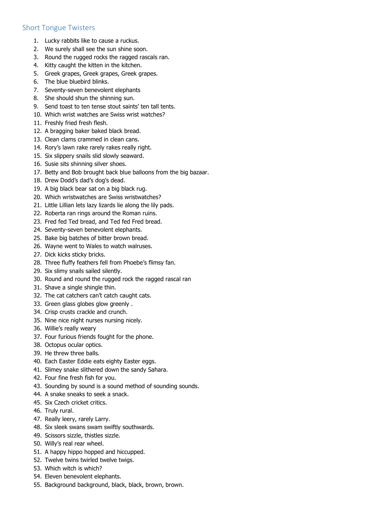## Short Tongue Twisters

- 1. Lucky rabbits like to cause a ruckus.
- 2. We surely shall see the sun shine soon.
- 3. Round the rugged rocks the ragged rascals ran.
- 4. Kitty caught the kitten in the kitchen.
- 5. Greek grapes, Greek grapes, Greek grapes.
- 6. The blue bluebird blinks.
- 7. Seventy-seven benevolent elephants
- 8. She should shun the shinning sun.
- 9. Send toast to ten tense stout saints' ten tall tents.
- 10. Which wrist watches are Swiss wrist watches?
- 11. Freshly fried fresh flesh.
- 12. A bragging baker baked black bread.
- 13. Clean clams crammed in clean cans.
- 14. Rory's lawn rake rarely rakes really right.
- 15. Six slippery snails slid slowly seaward.
- 16. Susie sits shinning silver shoes.
- 17. Betty and Bob brought back blue balloons from the big bazaar.
- 18. Drew Dodd's dad's dog's dead.
- 19. A big black bear sat on a big black rug.
- 20. Which wristwatches are Swiss wristwatches?
- 21. Little Lillian lets lazy lizards lie along the lily pads.
- 22. Roberta ran rings around the Roman ruins.
- 23. Fred fed Ted bread, and Ted fed Fred bread.
- 24. Seventy-seven benevolent elephants.
- 25. Bake big batches of bitter brown bread.
- 26. Wayne went to Wales to watch walruses.
- 27. Dick kicks sticky bricks.
- 28. Three fluffy feathers fell from Phoebe's flimsy fan.
- 29. Six slimy snails sailed silently.
- 30. Round and round the rugged rock the ragged rascal ran
- 31. Shave a single shingle thin.
- 32. The cat catchers can't catch caught cats.
- 33. Green glass globes glow greenly .
- 34. Crisp crusts crackle and crunch.
- 35. Nine nice night nurses nursing nicely.
- 36. Willie's really weary
- 37. Four furious friends fought for the phone.
- 38. Octopus ocular optics.
- 39. He threw three balls.
- 40. Each Easter Eddie eats eighty Easter eggs.
- 41. Slimey snake slithered down the sandy Sahara.
- 42. Four fine fresh fish for you.
- 43. Sounding by sound is a sound method of sounding sounds.
- 44. A snake sneaks to seek a snack.
- 45. Six Czech cricket critics.
- 46. Truly rural.
- 47. Really leery, rarely Larry.
- 48. Six sleek swans swam swiftly southwards.
- 49. Scissors sizzle, thistles sizzle.
- 50. Willy's real rear wheel.
- 51. A happy hippo hopped and hiccupped.
- 52. Twelve twins twirled twelve twigs.
- 53. Which witch is which?
- 54. Eleven benevolent elephants.
- 55. Background background, black, black, brown, brown.